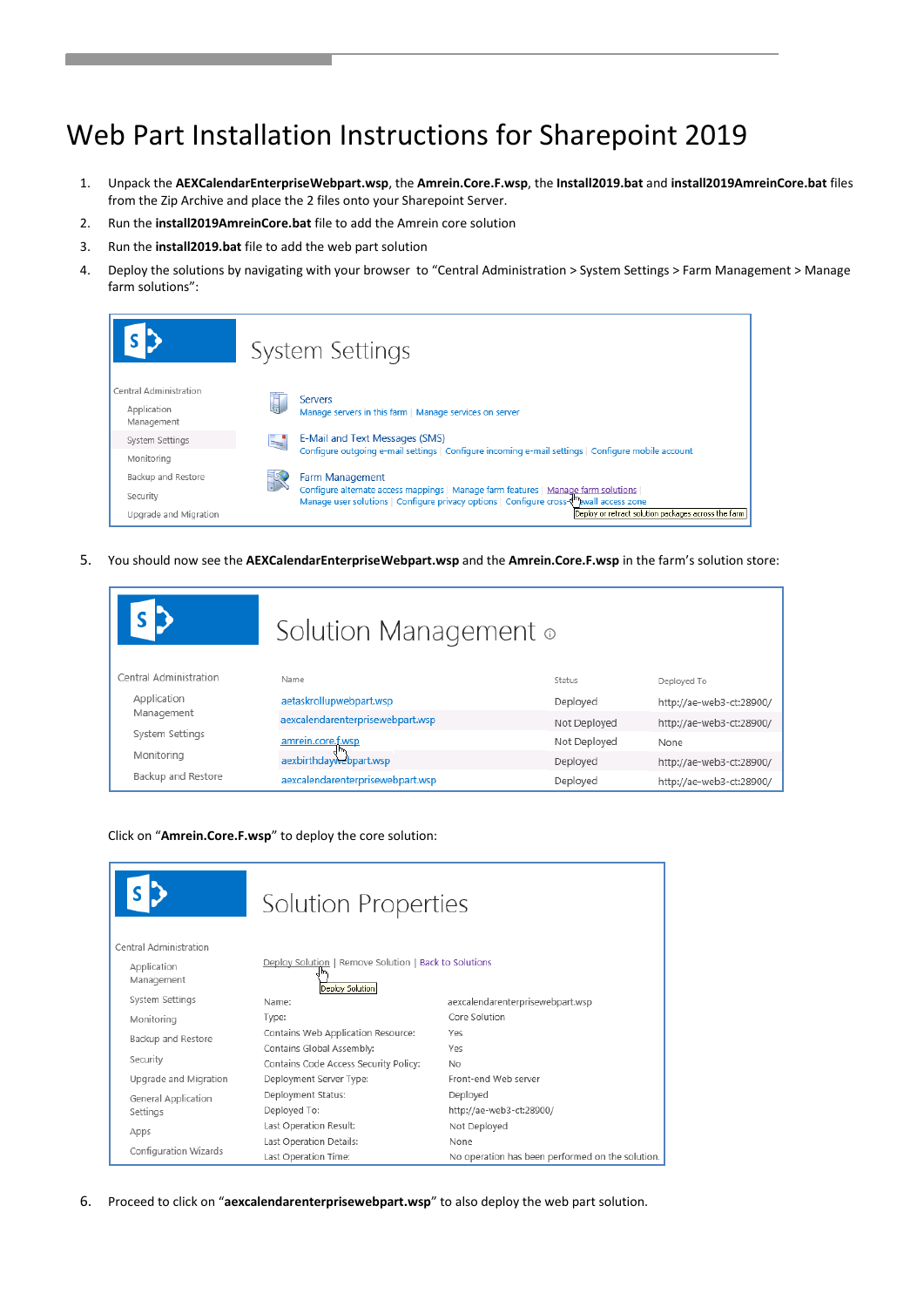# Web Part Installation Instructions for Sharepoint 2019

- 1. Unpack the **AEXCalendarEnterpriseWebpart.wsp**, the **Amrein.Core.F.wsp**, the **Install2019.bat** and **install2019AmreinCore.bat** files from the Zip Archive and place the 2 files onto your Sharepoint Server.
- 2. Run the **install2019AmreinCore.bat** file to add the Amrein core solution
- 3. Run the **install2019.bat** file to add the web part solution
- 4. Deploy the solutions by navigating with your browser to "Central Administration > System Settings > Farm Management > Manage farm solutions":

|                                                     | System Settings                                                                                                                                                                   |
|-----------------------------------------------------|-----------------------------------------------------------------------------------------------------------------------------------------------------------------------------------|
| Central Administration<br>Application<br>Management | <b>Servers</b><br>Manage servers in this farm   Manage services on server                                                                                                         |
| System Settings                                     | E-Mail and Text Messages (SMS)                                                                                                                                                    |
| Monitoring                                          | Configure outgoing e-mail settings   Configure incoming e-mail settings   Configure mobile account                                                                                |
| Backup and Restore                                  | <b>Farm Management</b>                                                                                                                                                            |
| Security                                            | Configure alternate access mappings   Manage farm features   Manage farm solutions<br>Manage user solutions   Configure privacy options   Configure cross-{mexilender access zone |
| Upgrade and Migration                               | Deploy or retract solution packages across the farm                                                                                                                               |

5. You should now see the **AEXCalendarEnterpriseWebpart.wsp** and the **Amrein.Core.F.wsp** in the farm's solution store:

|                        | Solution Management o            |               |                          |
|------------------------|----------------------------------|---------------|--------------------------|
| Central Administration | Name                             | <b>Status</b> | Deployed To              |
| Application            | aetaskrollupwebpart.wsp          | Deployed      | http://ae-web3-ct:28900/ |
| Management             | aexcalendarenterprisewebpart.wsp | Not Deployed  | http://ae-web3-ct:28900/ |
| System Settings        | amrein.core.f.wsp                | Not Deployed  | None                     |
| Monitoring             | aexbirthdaywebpart.wsp           | Deployed      | http://ae-web3-ct:28900/ |
| Backup and Restore     | aexcalendarenterprisewebpart.wsp | Deployed      | http://ae-web3-ct:28900/ |

#### Click on "**Amrein.Core.F.wsp**" to deploy the core solution:

|                           | <b>Solution Properties</b>                                               |                                                  |
|---------------------------|--------------------------------------------------------------------------|--------------------------------------------------|
| Central Administration    |                                                                          |                                                  |
| Application<br>Management | Deploy Solution   Remove Solution   Back to Solutions<br>Deploy Solution |                                                  |
| System Settings           | Name:                                                                    | aexcalendarenterprisewebpart.wsp                 |
| Monitoring                | Type:                                                                    | Core Solution                                    |
| Backup and Restore        | Contains Web Application Resource:                                       | Yρς                                              |
|                           | Contains Global Assembly:                                                | Yes                                              |
| Security                  | Contains Code Access Security Policy:                                    | No                                               |
| Upgrade and Migration     | Deployment Server Type:                                                  | Front-end Web server                             |
| General Application       | Deployment Status:                                                       | Deployed                                         |
| Settings                  | Deployed To:                                                             | http://ae-web3-ct:28900/                         |
| Apps                      | Last Operation Result:                                                   | Not Deployed                                     |
|                           | Last Operation Details:                                                  | None                                             |
| Configuration Wizards     | Last Operation Time:                                                     | No operation has been performed on the solution. |

6. Proceed to click on "**aexcalendarenterprisewebpart.wsp**" to also deploy the web part solution.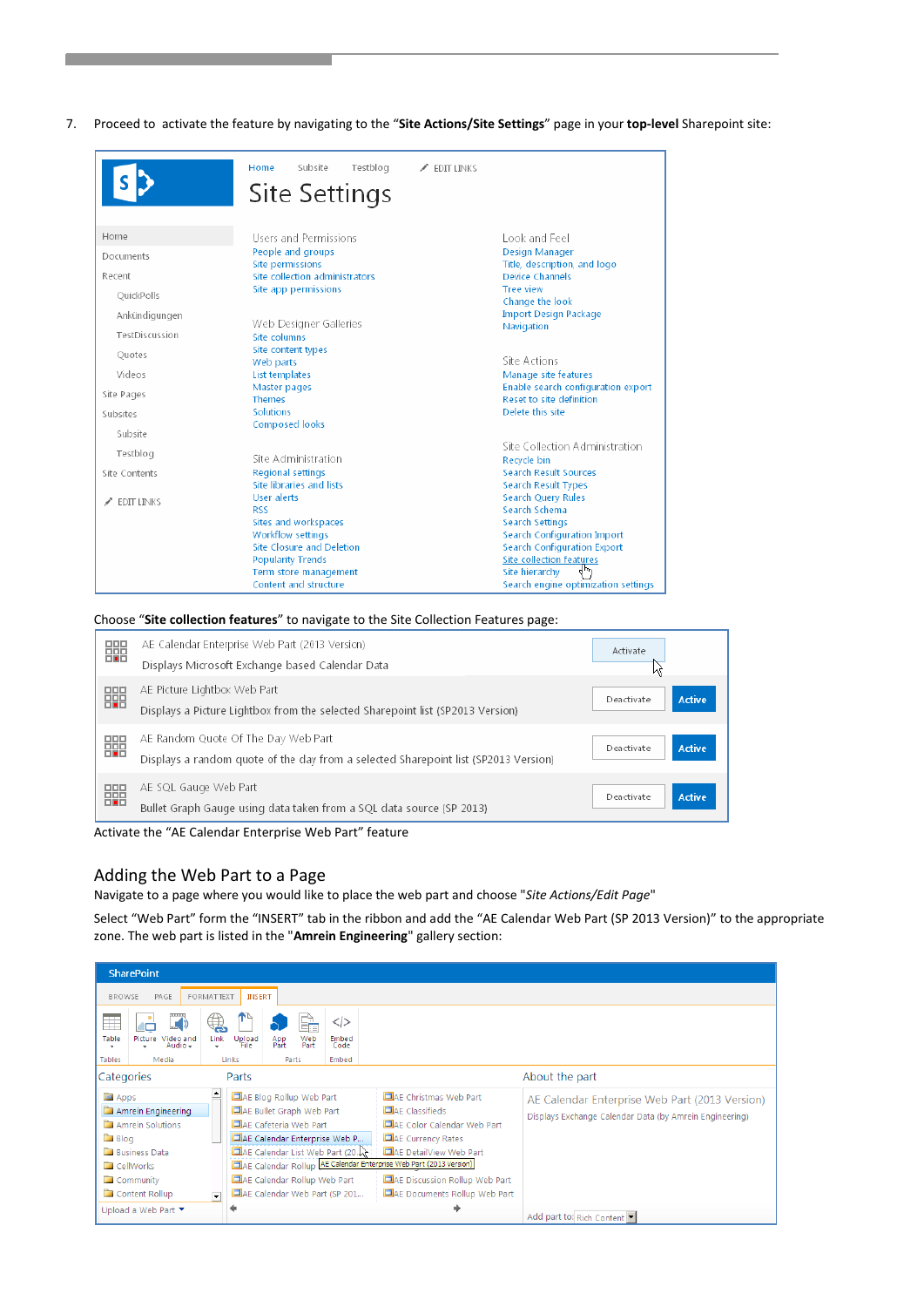7. Proceed to activate the feature by navigating to the "**Site Actions/Site Settings**" page in your **top-level** Sharepoint site:

|                | Subsite<br>Testblog<br>Home<br>Site Settings          | $\angle$ EDIT LINKS                                               |
|----------------|-------------------------------------------------------|-------------------------------------------------------------------|
| Home           | Users and Permissions                                 | Look and Feel                                                     |
| Documents      | People and groups                                     | Design Manager                                                    |
|                | Site permissions                                      | Title, description, and logo                                      |
| Recent         | Site collection administrators                        | Device Channels<br><b>Tree view</b>                               |
| OuickPolls     | Site app permissions                                  | Change the look                                                   |
| Ankündigungen  |                                                       | <b>Import Design Package</b>                                      |
|                | Web Designer Galleries                                | Navigation                                                        |
| TestDiscussion | Site columns                                          |                                                                   |
| Ouotes         | Site content types                                    |                                                                   |
|                | Web parts                                             | Site Actions                                                      |
| Videos         | List templates<br>Master pages                        | Manage site features<br>Enable search configuration export        |
| Site Pages     | <b>Themes</b>                                         | Reset to site definition                                          |
| Subsites       | Solutions                                             | Delete this site                                                  |
|                | <b>Composed looks</b>                                 |                                                                   |
| Subsite        |                                                       |                                                                   |
| Testblog       |                                                       | Site Collection Administration                                    |
|                | Site Administration                                   | Recycle bin                                                       |
| Site Contents  | <b>Regional settings</b>                              | <b>Search Result Sources</b>                                      |
|                | Site libraries and lists                              | Search Result Types                                               |
| EDIT LINKS     | <b>User alerts</b>                                    | <b>Search Query Rules</b>                                         |
|                | <b>RSS</b>                                            | Search Schema                                                     |
|                | Sites and workspaces                                  | Search Settings                                                   |
|                | Workflow settings<br><b>Site Closure and Deletion</b> | Search Configuration Import<br><b>Search Configuration Export</b> |
|                |                                                       | Site collection features                                          |
|                | <b>Popularity Trends</b><br>Term store management     | Site hierarchy                                                    |
|                | Content and structure                                 | Search engine optimization settings                               |

Choose "**Site collection features**" to navigate to the Site Collection Features page:

| 鼺 | AE Calendar Enterprise Web Part (2013 Version)<br>Displays Microsoft Exchange based Calendar Data                          | Activate<br>Νç              |
|---|----------------------------------------------------------------------------------------------------------------------------|-----------------------------|
| 鼺 | AE Picture Lightbox Web Part<br>Displays a Picture Lightbox from the selected Sharepoint list (SP2013 Version)             | Active<br>Deactivate        |
| 鼺 | AE Random Quote Of The Day Web Part<br>Displays a random quote of the day from a selected Sharepoint list (SP2013 Version) | <b>Active</b><br>Deactivate |
| 鼺 | AE SQL Gauge Web Part<br>Bullet Graph Gauge using data taken from a SQL data source (SP 2013)                              | Active<br>Deactivate        |

Activate the "AE Calendar Enterprise Web Part" feature

## Adding the Web Part to a Page

Navigate to a page where you would like to place the web part and choose "*Site Actions/Edit Page*"

Select "Web Part" form the "INSERT" tab in the ribbon and add the "AE Calendar Web Part (SP 2013 Version)" to the appropriate zone. The web part is listed in the "**Amrein Engineering**" gallery section:

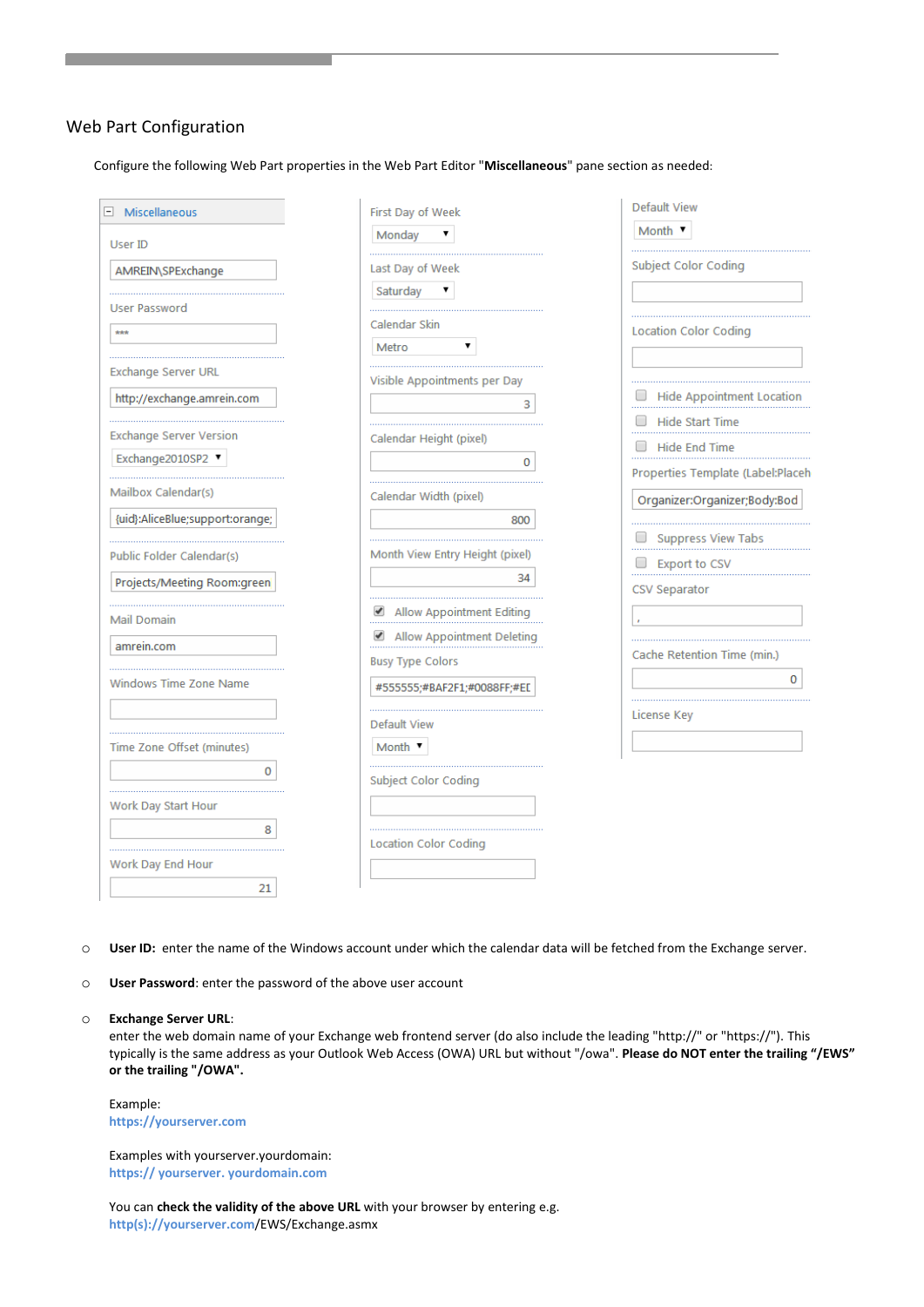### Web Part Configuration

Configure the following Web Part properties in the Web Part Editor "**Miscellaneous**" pane section as needed:

| Miscellaneous                   | First Day of Week               | <b>Default View</b>               |
|---------------------------------|---------------------------------|-----------------------------------|
| User ID                         | Monday                          | Month v                           |
| AMREIN\SPExchange               | Last Day of Week                | Subject Color Coding              |
|                                 | Saturday                        |                                   |
| <b>User Password</b>            | Calendar Skin                   |                                   |
| $\star\star\star$               | Metro                           | <b>Location Color Coding</b>      |
|                                 |                                 |                                   |
| Exchange Server URL             | Visible Appointments per Day    |                                   |
| http://exchange.amrein.com      | 3                               | <b>Hide Appointment Location</b>  |
| <b>Exchange Server Version</b>  |                                 | Hide Start Time                   |
| Exchange2010SP2 ▼               | Calendar Height (pixel)         | <b>Hide End Time</b>              |
|                                 | $\Omega$                        | Properties Template (Label:Placeh |
| Mailbox Calendar(s)             | Calendar Width (pixel)          | Organizer:Organizer;Body:Bod      |
| {uid}:AliceBlue;support:orange; | 800                             |                                   |
|                                 |                                 | $\Box$ Suppress View Tabs         |
| Public Folder Calendar(s)       | Month View Entry Height (pixel) | $\Box$ Export to CSV              |
| Projects/Meeting Room:green     | 34                              | <b>CSV Separator</b>              |
| <b>Mail Domain</b>              | Allow Appointment Editing       |                                   |
| amrein.com                      | Allow Appointment Deleting      |                                   |
|                                 | <b>Busy Type Colors</b>         | Cache Retention Time (min.)       |
| Windows Time Zone Name          | #555555;#BAF2F1;#0088FF;#EE     | 0                                 |
|                                 | <b>Default View</b>             | License Key                       |
| Time Zone Offset (minutes)      | Month $\blacktriangledown$      |                                   |
| o                               |                                 |                                   |
|                                 | Subject Color Coding            |                                   |
| Work Day Start Hour             |                                 |                                   |
| 8                               | <b>Location Color Coding</b>    |                                   |
| Work Day End Hour               |                                 |                                   |
| 21                              |                                 |                                   |

o **User ID:** enter the name of the Windows account under which the calendar data will be fetched from the Exchange server.

o **User Password**: enter the password of the above user account

o **Exchange Server URL**:

enter the web domain name of your Exchange web frontend server (do also include the leading "http://" or "https://"). This typically is the same address as your Outlook Web Access (OWA) URL but without "/owa". **Please do NOT enter the trailing "/EWS" or the trailing "/OWA".**

Example: **https://yourserver.com**

Examples with yourserver.yourdomain: **https:// yourserver. yourdomain.com**

You can **check the validity of the above URL** with your browser by entering e.g. **http(s)://yourserver.com**/EWS/Exchange.asmx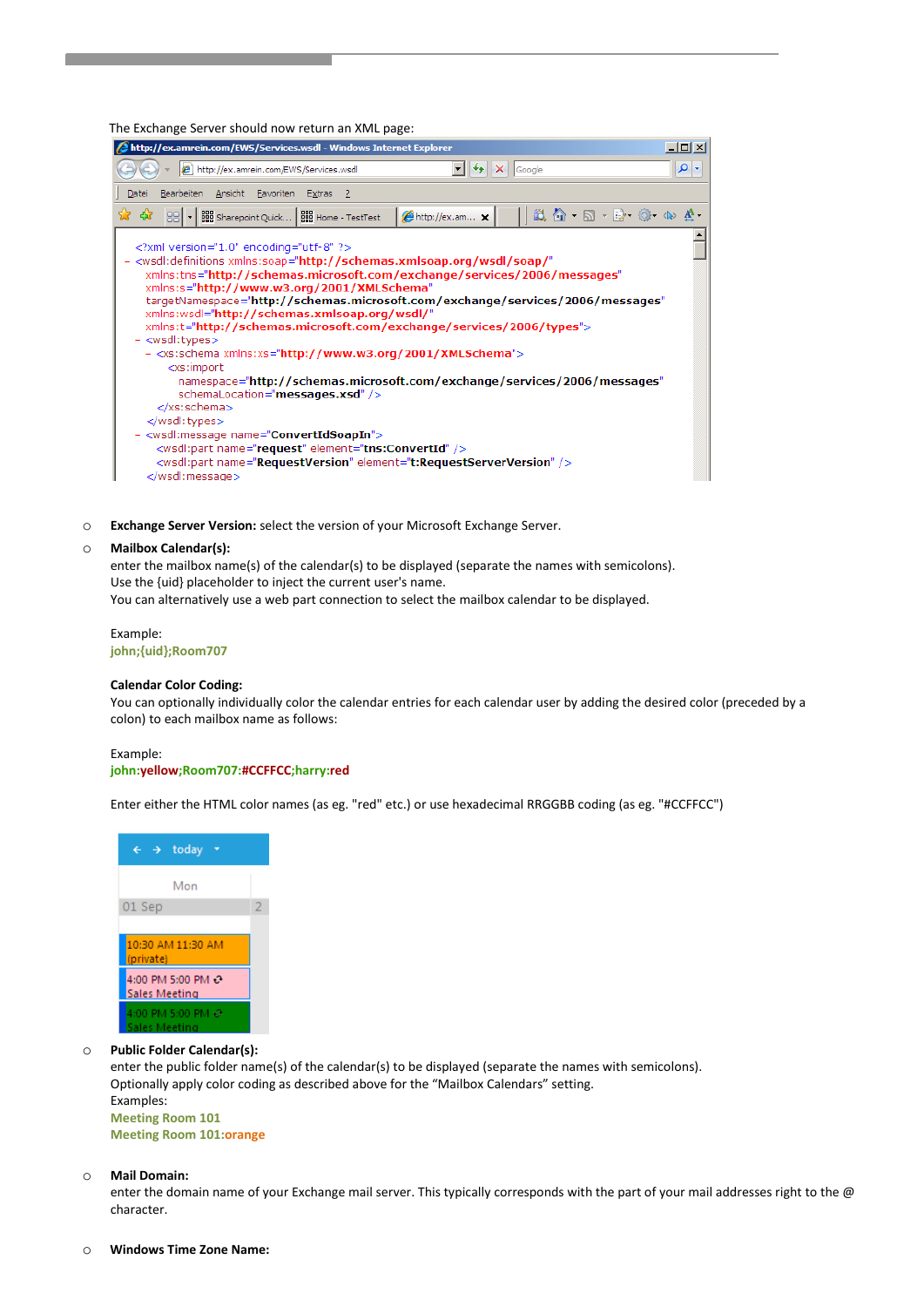The Exchange Server should now return an XML page:

| http://ex.amrein.com/EWS/Services.wsdl - Windows Internet Explorer                                                                                                                                                                                                                                                                                                                                                                                                                                                                                                                                                                                                                                                                                                                                                                                                                                                                                                                         |     |  |
|--------------------------------------------------------------------------------------------------------------------------------------------------------------------------------------------------------------------------------------------------------------------------------------------------------------------------------------------------------------------------------------------------------------------------------------------------------------------------------------------------------------------------------------------------------------------------------------------------------------------------------------------------------------------------------------------------------------------------------------------------------------------------------------------------------------------------------------------------------------------------------------------------------------------------------------------------------------------------------------------|-----|--|
| http://ex.amrein.com/EWS/Services.wsdl<br>$\left \bigstar\right $ $\times$ Google                                                                                                                                                                                                                                                                                                                                                                                                                                                                                                                                                                                                                                                                                                                                                                                                                                                                                                          | - م |  |
| Bearbeiten Ansicht Favoriten Extras ?<br>Datei                                                                                                                                                                                                                                                                                                                                                                                                                                                                                                                                                                                                                                                                                                                                                                                                                                                                                                                                             |     |  |
| $\mathbb{L}\mathbb{L}\mathbb{C}\mathbb{L}\oplus\mathbb{L}\mathbb{R}\oplus\mathbb{L}\oplus\mathbb{L}\oplus\mathbb{L}\oplus\mathbb{L}$<br>53<br>88 v   88 Sharepoint Quick   88 Home - TestTest<br>- 497<br>http://ex.am x                                                                                                                                                                                                                                                                                                                                                                                                                                                                                                                                                                                                                                                                                                                                                                   |     |  |
| xml version="1.0" encoding="utf-8" ?<br>- <wsdl:definitions <br="" xmlns:soap="http://schemas.xmlsoap.org/wsdl/soap/">xmlns:tns="http://schemas.microsoft.com/exchange/services/2006/messages"<br/>xmlns:s="http://www.w3.org/2001/XMLSchema"<br/>targetNamespace="http://schemas.microsoft.com/exchange/services/2006/messages"<br/>xmlns:wsdl="http://schemas.xmlsoap.org/wsdl/"<br/>xmlns:t="http://schemas.microsoft.com/exchange/services/2006/types"&gt;<br/>- <wsdl:types><br/><math>-</math> <xs:schema xmlns:xs="http://www.w3.org/2001/XMLSchema"><br/><xs:import<br>namespace="http://schemas.microsoft.com/exchange/services/2006/messages"<br/>schemaLocation="messages.xsd" /&gt;<br/></xs:import<br></xs:schema><br/></wsdl:types><br/>- <wsdl:message name="ConvertIdSoapIn"><br/><wsdl:part element="tns:ConvertId" name="request"></wsdl:part><br/><wsdl:part element="t:RequestServerVersion" name="RequestVersion"></wsdl:part><br/></wsdl:message></wsdl:definitions> |     |  |

o **Exchange Server Version:** select the version of your Microsoft Exchange Server.

#### o **Mailbox Calendar(s):**

enter the mailbox name(s) of the calendar(s) to be displayed (separate the names with semicolons). Use the {uid} placeholder to inject the current user's name. You can alternatively use a web part connection to select the mailbox calendar to be displayed.

Example: **john;{uid};Room707**

#### **Calendar Color Coding:**

You can optionally individually color the calendar entries for each calendar user by adding the desired color (preceded by a colon) to each mailbox name as follows:

#### Example:

#### **john:yellow;Room707:#CCFFCC;harry:red**

Enter either the HTML color names (as eg. "red" etc.) or use hexadecimal RRGGBB coding (as eg. "#CCFFCC")



#### o **Public Folder Calendar(s):**

enter the public folder name(s) of the calendar(s) to be displayed (separate the names with semicolons). Optionally apply color coding as described above for the "Mailbox Calendars" setting. Examples: **Meeting Room 101**

**Meeting Room 101:orange**

#### o **Mail Domain:**

enter the domain name of your Exchange mail server. This typically corresponds with the part of your mail addresses right to the @ character.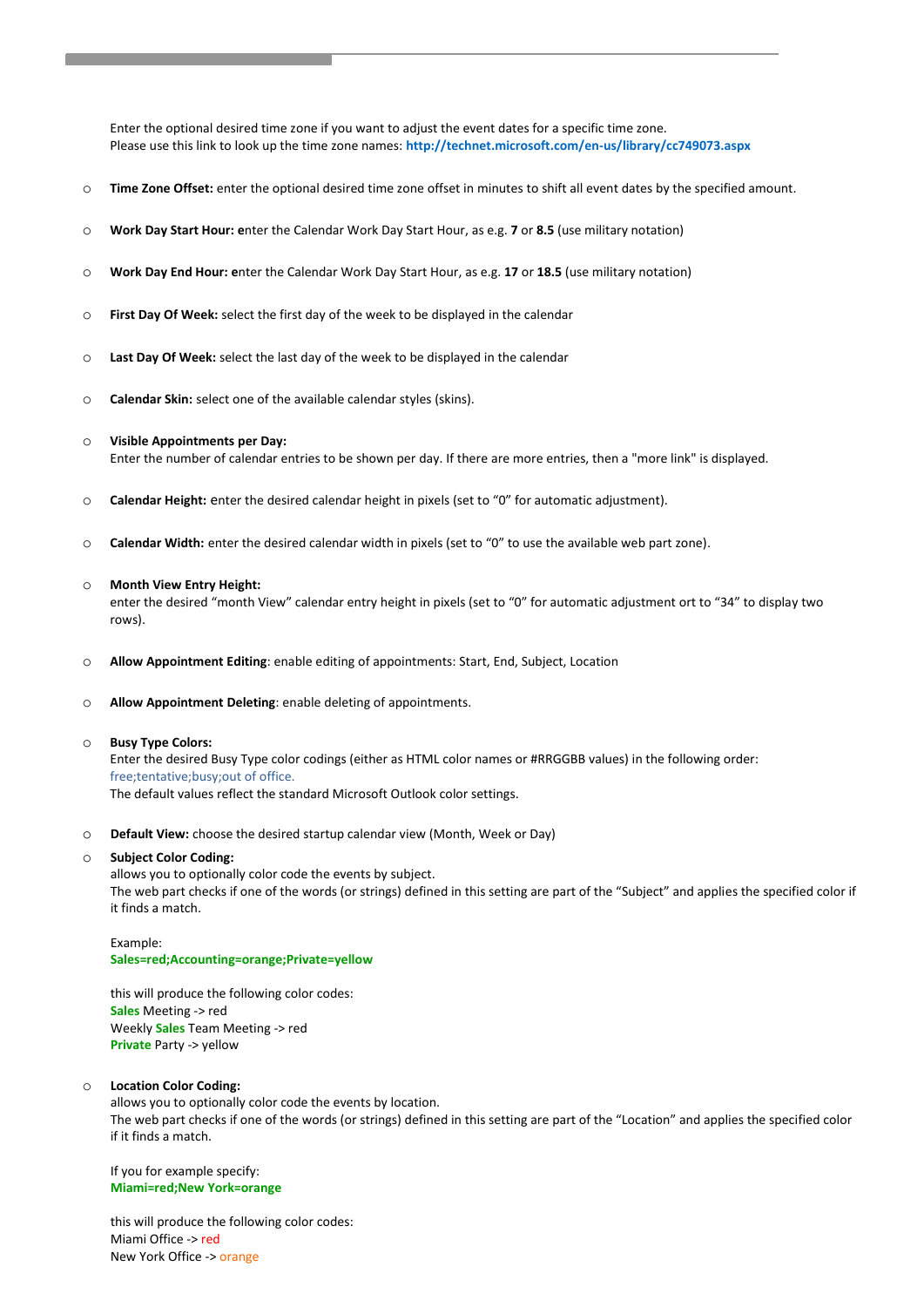Enter the optional desired time zone if you want to adjust the event dates for a specific time zone. Please use this link to look up the time zone names: **<http://technet.microsoft.com/en-us/library/cc749073.aspx>**

- o **Time Zone Offset:** enter the optional desired time zone offset in minutes to shift all event dates by the specified amount.
- o **Work Day Start Hour: e**nter the Calendar Work Day Start Hour, as e.g. **7** or **8.5** (use military notation)
- o **Work Day End Hour: e**nter the Calendar Work Day Start Hour, as e.g. **17** or **18.5** (use military notation)
- o **First Day Of Week:** select the first day of the week to be displayed in the calendar
- o **Last Day Of Week:** select the last day of the week to be displayed in the calendar
- o **Calendar Skin:** select one of the available calendar styles (skins).

#### o **Visible Appointments per Day:**

Enter the number of calendar entries to be shown per day. If there are more entries, then a "more link" is displayed.

- o **Calendar Height:** enter the desired calendar height in pixels (set to "0" for automatic adjustment).
- o **Calendar Width:** enter the desired calendar width in pixels (set to "0" to use the available web part zone).

#### o **Month View Entry Height:**

enter the desired "month View" calendar entry height in pixels (set to "0" for automatic adjustment ort to "34" to display two rows).

- o **Allow Appointment Editing**: enable editing of appointments: Start, End, Subject, Location
- o **Allow Appointment Deleting**: enable deleting of appointments.

#### o **Busy Type Colors:**

Enter the desired Busy Type color codings (either as HTML color names or #RRGGBB values) in the following order: free;tentative;busy;out of office. The default values reflect the standard Microsoft Outlook color settings.

o **Default View:** choose the desired startup calendar view (Month, Week or Day)

#### o **Subject Color Coding:**

allows you to optionally color code the events by subject. The web part checks if one of the words (or strings) defined in this setting are part of the "Subject" and applies the specified color if it finds a match.

#### Example: **Sales=red;Accounting=orange;Private=yellow**

this will produce the following color codes: **Sales** Meeting -> red Weekly **Sales** Team Meeting -> red **Private** Party -> yellow

#### o **Location Color Coding:**

allows you to optionally color code the events by location. The web part checks if one of the words (or strings) defined in this setting are part of the "Location" and applies the specified color if it finds a match.

If you for example specify: **Miami=red;New York=orange**

this will produce the following color codes: Miami Office -> red New York Office -> orange